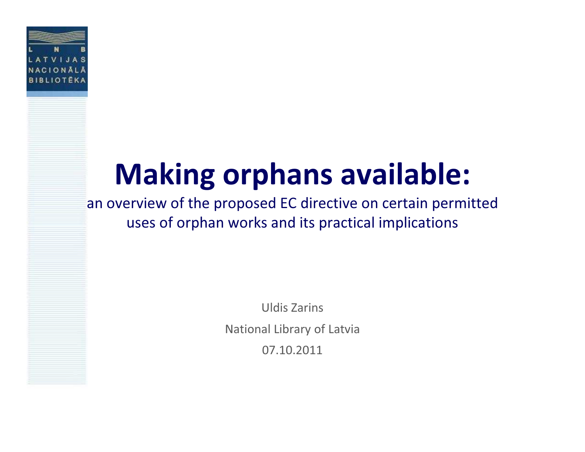

# Making orphans available:

an overview of the proposed EC directive on certain permitted uses of orphan works and its practical implications

> Uldis ZarinsNational Library of Latvia07.10.2011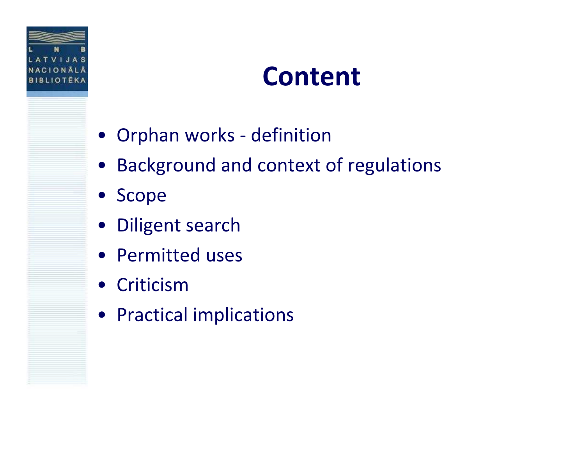

#### Content

- Orphan works definition
- •Background and context of regulations
- Scope
- Diligent search
- Permitted uses
- Criticism
- Practical implications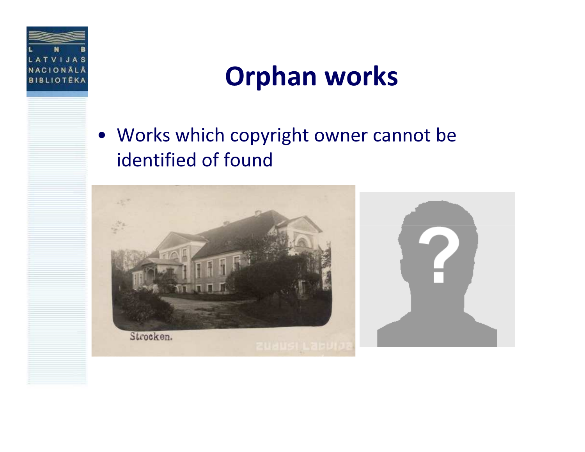

#### Orphan works

• Works which copyright owner cannot be identified of found

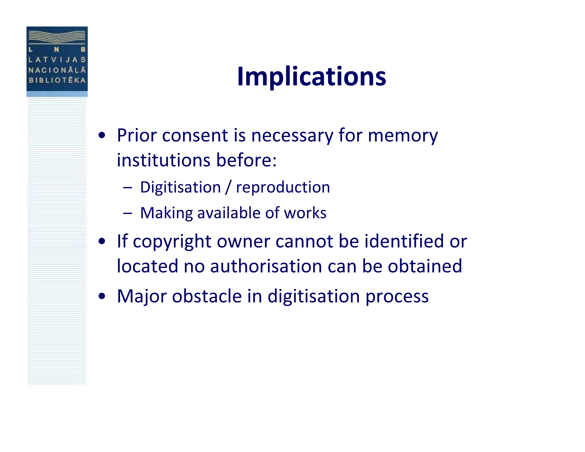

### Implications

- Prior consent is necessary for memory institutions before:
	- –Digitisation / reproduction
	- –Making available of works
- If copyright owner cannot be identified or located no authorisation can be obtained
- •Major obstacle in digitisation process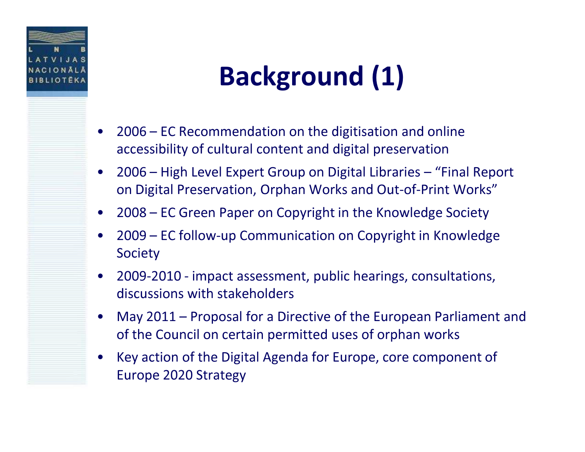

# Background (1)

- • 2006 – EC Recommendation on the digitisation and online accessibility of cultural content and digital preservation
- • 2006 – High Level Expert Group on Digital Libraries – "Final Report on Digital Preservation, Orphan Works and Out-of-Print Works"
- •2008 – EC Green Paper on Copyright in the Knowledge Society
- • 2009 – EC follow-up Communication on Copyright in Knowledge **Society**
- • 2009-2010 - impact assessment, public hearings, consultations, discussions with stakeholders
- • May 2011 – Proposal for a Directive of the European Parliament and of the Council on certain permitted uses of orphan works
- • Key action of the Digital Agenda for Europe, core component of Europe 2020 Strategy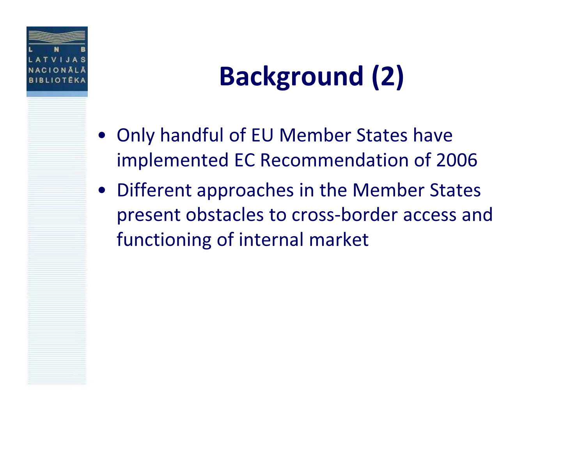

## Background (2)

- Only handful of EU Member States have implemented EC Recommendation of 2006
- • Different approaches in the Member States present obstacles to cross-border access and functioning of internal market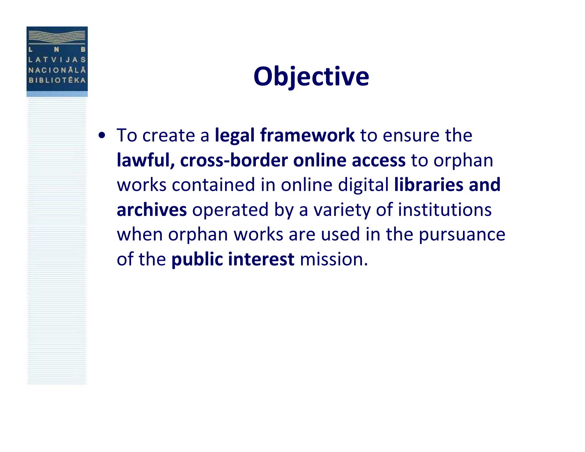

#### **Objective**

• To create a legal framework to ensure the lawful, cross-border online access to orphan works contained in online digital libraries and archives operated by a variety of institutions when orphan works are used in the pursuance of the **public interest** mission.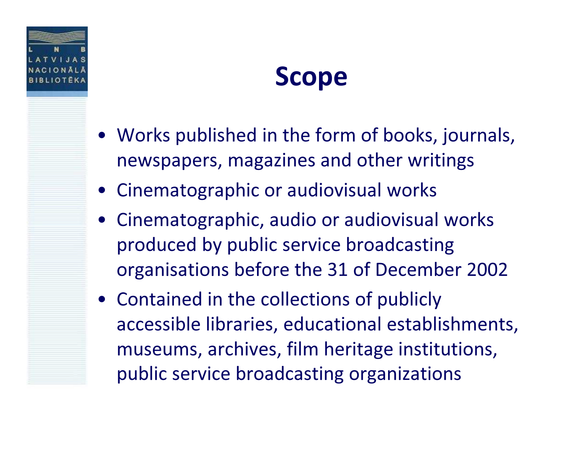

#### Scope

- Works published in the form of books, journals, newspapers, magazines and other writings
- Cinematographic or audiovisual works
- Cinematographic, audio or audiovisual works produced by public service broadcasting organisations before the 31 of December 2002
- Contained in the collections of publicly accessible libraries, educational establishments, museums, archives, film heritage institutions, public service broadcasting organizations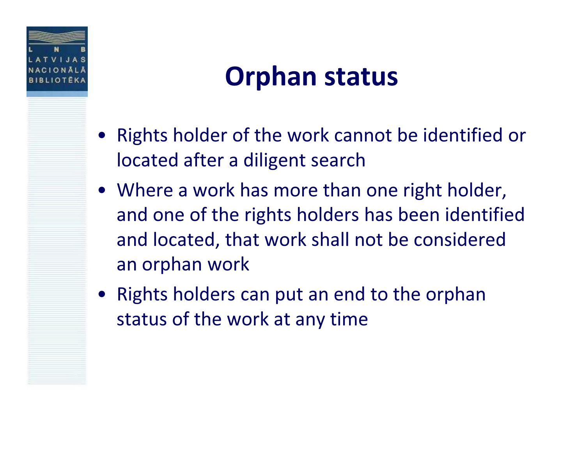

#### Orphan status

- • Rights holder of the work cannot be identified or located after a diligent search
- Where a work has more than one right holder, and one of the rights holders has been identified and located, that work shall not be considered an orphan work
- • Rights holders can put an end to the orphan status of the work at any time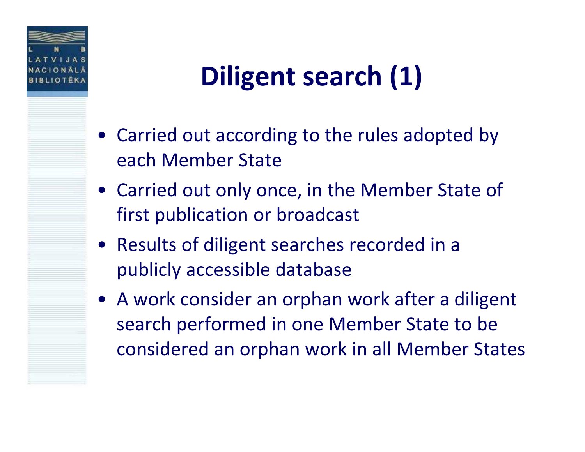

## Diligent search (1)

- Carried out according to the rules adopted by each Member State
- Carried out only once, in the Member State of first publication or broadcast
- Results of diligent searches recorded in a publicly accessible database
- A work consider an orphan work after a diligent search performed in one Member State to be considered an orphan work in all Member States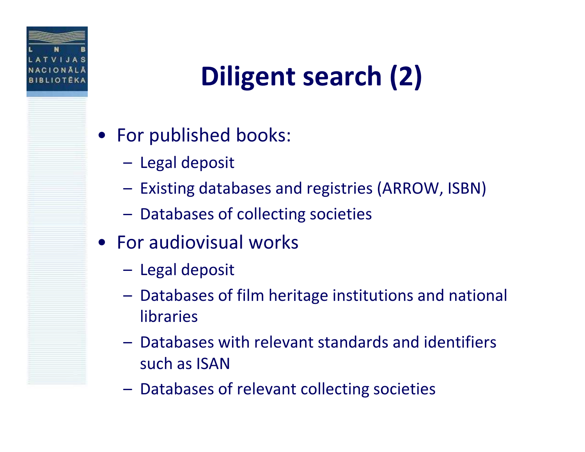

# Diligent search (2)

- For published books:
	- –Legal deposit
	- –Existing databases and registries (ARROW, ISBN)
	- –Databases of collecting societies
- For audiovisual works
	- –Legal deposit
	- – Databases of film heritage institutions and national libraries
	- Databases with relevant standards and identifiers such as ISAN
	- –Databases of relevant collecting societies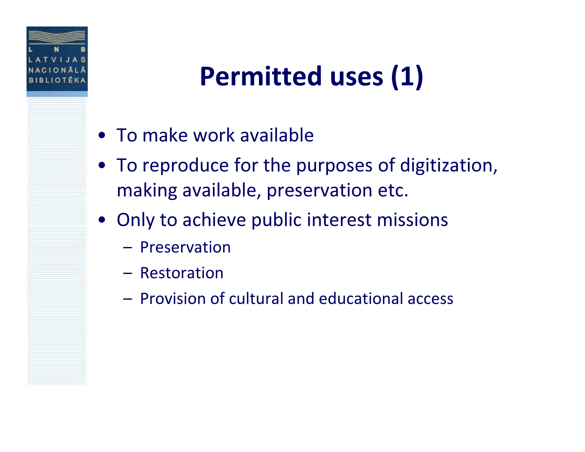

## Permitted uses (1)

- To make work available
- To reproduce for the purposes of digitization, making available, preservation etc.
- Only to achieve public interest missions
	- Preservation
	- Restoration
	- Provision of cultural and educational access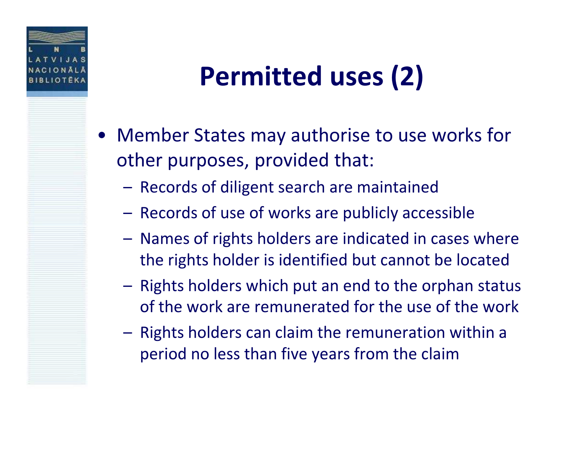

### Permitted uses (2)

- • Member States may authorise to use works for other purposes, provided that:
	- –Records of diligent search are maintained
	- –Records of use of works are publicly accessible
	- – Names of rights holders are indicated in cases where the rights holder is identified but cannot be located
	- – Rights holders which put an end to the orphan status of the work are remunerated for the use of the work
	- – Rights holders can claim the remuneration within a period no less than five years from the claim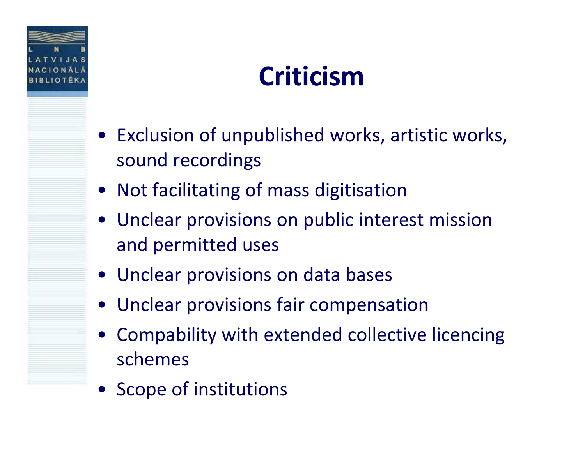

### Criticism

- Exclusion of unpublished works, artistic works, sound recordings
- Not facilitating of mass digitisation
- Unclear provisions on public interest mission and permitted uses
- Unclear provisions on data bases
- Unclear provisions fair compensation
- Compability with extended collective licencing schemes
- Scope of institutions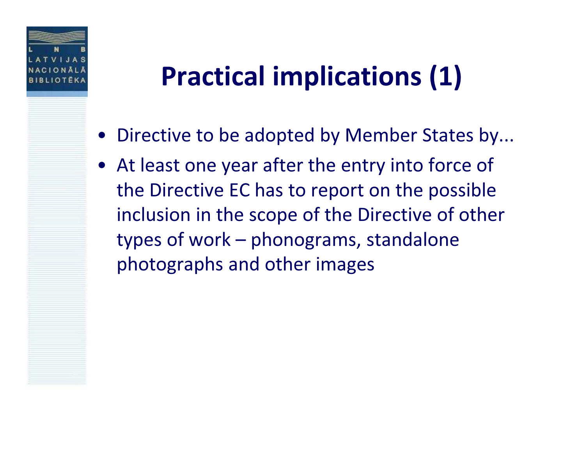

### Practical implications (1)

- Directive to be adopted by Member States by...
- At least one year after the entry into force of the Directive EC has to report on the possible inclusion in the scope of the Directive of other types of work – phonograms, standalone photographs and other images